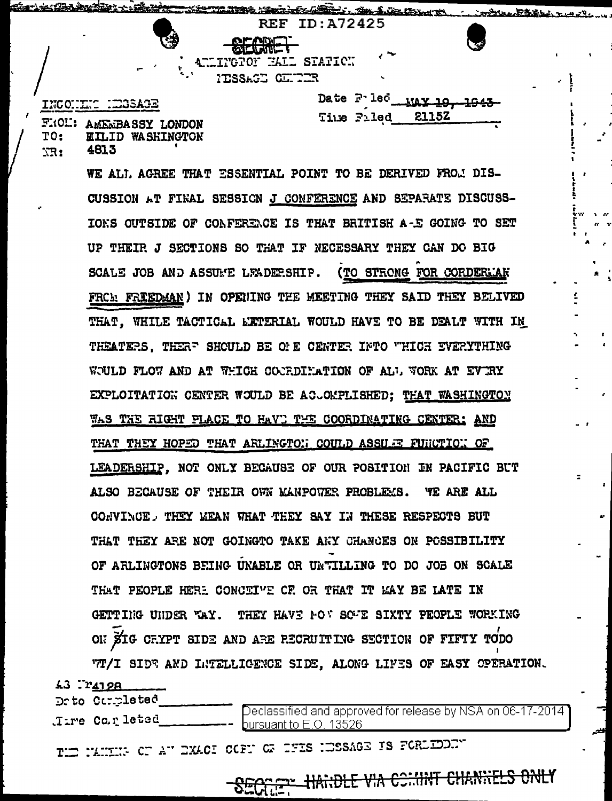INCONTIC HEASAGE

FRON: AMEMBASSY LONDON TO: **EILID WASHINGTON** 4813 XR:

Seattle to the communication of the communication

Date Fried wax 10 Time Filed 2115Z

January 1997

Station St. Station of

**REF ID:A72425** 

TIMGTON HALL STATICH

ITSSAGE CENTER

WE ALI. AGREE THAT ESSENTIAL POINT TO BE DERIVED FROM DIS-CUSSION AT FINAL SESSICN J CONFERENCE AND SEPARATE DISCUSS-IONS OUTSIDE OF CONFERENCE IS THAT BRITISH A-E GOING TO SET UP THEIR J SECTIONS SO THAT IF NECESSARY THEY CAN DO BIG SCALE JOB AND ASSUME LEADERSHIP. (TO STRONG FOR CORDERLIAN FRCA FRIEDMAN) IN OPENING THE MEETING THEY SAID THEY BELIVED THAT. WHILE TACTICAL EXTERIAL WOULD HAVE TO BE DEALT WITH IN THEATERS, THERE SHOULD BE ONE CENTER INTO WHICH EVERYTHING WOULD FLOW AND AT WHICH COORDIHATION OF ALL WORK AT EVERY EXPLOITATION CENTER WOULD BE ACLOMPLISHED; THAT WASHINGTON WAS THE RIGHT PLACE TO HAVE THE COORDINATING CENTER: AND THAT THEY HOPED THAT ARLINGTON COULD ASSURE FUNCTION OF LEADERSHIP. NOT ONLY BECAUSE OF OUR POSITION IN PACIFIC BUT ALSO BECAUSE OF THEIR OWN MANPOWER PROBLEMS. YE ARE ALL CONVINCE, THEY WEAN WHAT THEY SAY IN THESE RESPECTS BUT THAT THEY ARE NOT GOINGTO TAKE ARY CHANCES ON POSSIBILITY OF ARLINGTONS BEING UNABLE OR UNTILLING TO DO JOB ON SCALE THAT PEOPLE HERE CONCEIVE CF OR THAT IT MAY BE LATE IN GETTING UNDER WAY. THEY HAVE NOT SOME SIXTY PEOPLE WORKING ON SIG CHYPT SIDE AND ARE RECRUITING SECTION OF FIFTY TODO TT/I SIDE AND INTELLIGENCE SIDE, ALONG LIFES OF EASY OPERATION.

 $43$   $rr4798$ 

Drto Completed Time Co.r leted

Declassified and approved for release by NSA on 06-17-2014 bursuant to E.O. 13526

THE NATURA OF AN EXACT OCFN OF THES NESSAGE IS FORLIDENT

SECTIFY HANDLE VIA COMMIT CHANNELS ONLY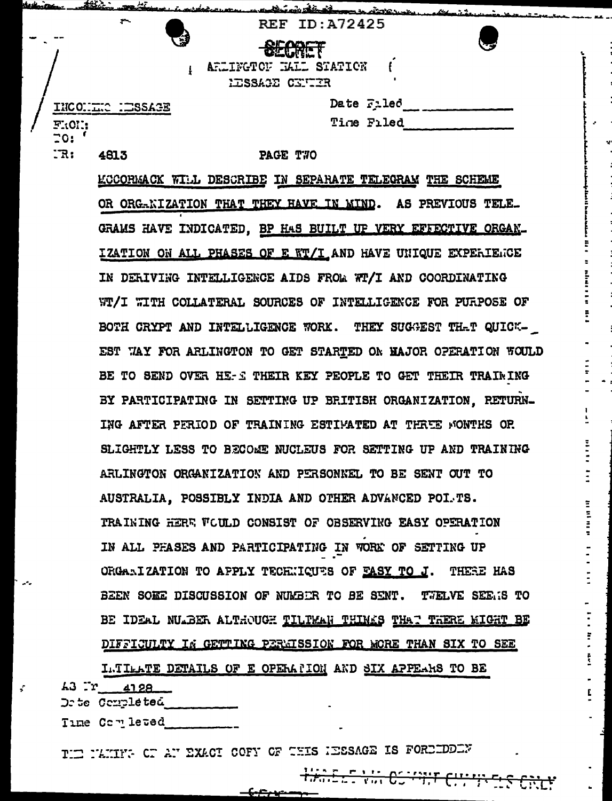|  |                    | And and the transformance in the state way the way . |
|--|--------------------|------------------------------------------------------|
|  | $\sim$             | <b>REF ID: A72425</b>                                |
|  | Ø                  | <b>SECRET</b><br>$\sim$                              |
|  |                    | ARLINGTON MALL STATION                               |
|  |                    | HESSACE CENTER                                       |
|  |                    | Date Filed                                           |
|  | F:OT:              | Time Filed                                           |
|  | $\overline{z}$ 0:  |                                                      |
|  | : <b>R</b><br>4813 | PAGE T70                                             |

KCCORMACK WILL DESCRIBE IN SEPARATE TELEGRAM THE SCHEME OR ORG-KIZATION THAT THEY HAVE IN MIND. AS PREVIOUS TELE. GRAMS HAVE INDICATED, BP HAS BUILT UP VERY EFFECTIVE ORGAN-IZATION ON ALL PHASES OF E WT/I AND HAVE UNIQUE EXPERIENCE IN DERIVING INTELLIGENCE AIDS FROM WT/I AND COORDINATING WT/I WITH COLLATERAL SOURCES OF INTELLIGENCE FOR PURPOSE OF BOTH CRYPT AND INTELLIGENCE WORK. THEY SUGGEST THAT QUICK-EST WAY FOR ARLINGTON TO GET STARTED ON MAJOR OPERATION WOULD BE TO SEND OVER HE-S THEIR KEY PEOPLE TO GET THEIR TRAINING BY PARTICIPATING IN SETTING UP BRITISH ORGANIZATION. RETURN-ING AFTER PERIOD OF TRAINING ESTIMATED AT THREE WONTHS OR SLIGHTLY LESS TO BECOME NUCLEUS FOR SETTING UP AND TRAINING ARLINGTON ORGANIZATION AND PERSONNEL TO BE SENT OUT TO AUSTRALIA, POSSIBLY INDIA AND OTHER ADVANCED POI.TS. TRAINING HERE WOULD CONSIST OF OBSERVING EASY OPERATION IN ALL PHASES AND PARTICIPATING IN WORK OF SETTING UP ORGANIZATION TO APPLY TECHNICUES OF EASY TO J. THERE HAS BEEN SORE DISCUSSION OF NUMBER TO BE SENT. TWELVE SEEMS TO BE IDEAL NULBER ALTHOUGH TILTMAN THINKS THAT THERE KIGHT BE DIFFICULTY IN GETTING PERMISSION FOR MORE THAN SIX TO SEE

=<br>=<br>=<br>=

INTIMATE DETAILS OF E OPERATION AND SIX APPEARS TO BE  $43$   $r$   $4128$ Dr te Completed

Time Completed

THE NAMITY OF AN EXACT COFY OF THIS IESSAGE IS FOREEDDEN

مستهجز

HARE TIME COMMIT CUTTING CRIM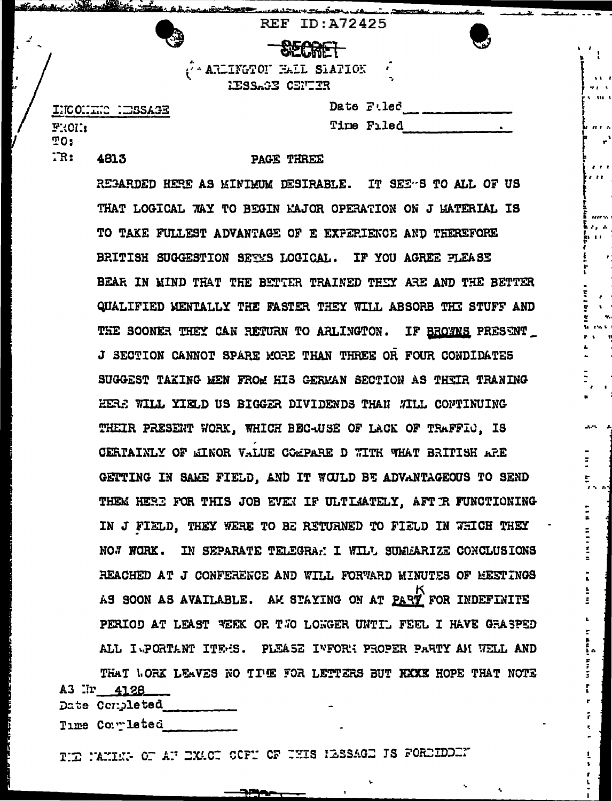|         | <b>REF ID: A72425</b>                                    |           |
|---------|----------------------------------------------------------|-----------|
| ్తు     | <b>SECRET</b>                                            | $\bullet$ |
|         | $\hat{C}$ ARLINGTOF HALL SIATION<br>۰,<br>HESSAGE CENTER |           |
| C :二SSJ | Date Filed                                               |           |
|         | Time<br>Filed                                            |           |

INCONTR F:01: TO:  $TR:$ 4813

## PAGE THREE

REGARDED HERE AS MINIMUM DESIRABLE. IT SEE-S TO ALL OF US THAT LOGICAL WAY TO BEGIN MAJOR OPERATION ON J MATERIAL IS TO TAKE FULLEST ADVANTAGE OF E EXPERIENCE AND THEREFORE BRITISH SUGGESTION SETMS LOGICAL. IF YOU AGREE PLEASE BEAR IN MIND THAT THE BETTER TRAINED THEY ARE AND THE BETTER QUALIFIED MENTALLY THE FASTER THEY WILL ABSORB THE STUFF AND THE SOONER THEY CAN RETURN TO ARLINGTON. IF BROWNS PRESENT J SECTION CANNOT SPARE MORE THAN THREE OR FOUR CONDIDATES SUGGEST TAKING HEN FROM HIS GERMAN SECTION AS THEIR TRANING HERE WILL YIELD US BIGGER DIVIDENDS THAN WILL CONTINUING THEIR PRESENT WORK, WHICH BEC-USE OF LACK OF TRAFFIC. IS CERTAINLY OF WINOR VALUE COMPARE D WITH WHAT BRITISH ARE GETTING IN SAME FIELD. AND IT WOULD BE ADVANTAGEOUS TO SEND THEM HERE FOR THIS JOB EVEN IF ULTIATELY. AFT R FUNCTIONING IN J FIELD. THEY WERE TO BE RETURNED TO FIELD IN WHICH THEY NO. WORK. IN SEPARATE TELEGRAN I WILL SUMMARIZE CONCLUSIONS REACHED AT J CONFERENCE AND WILL FORWARD MINUTES OF REETINGS AS SOON AS AVAILABLE. AM STAYING ON AT PART FOR INDEFINITE PERIOD AT LEAST VERK OR TWO LONGER UNTIL FEEL I HAVE GRASPED ALL I PORTANT ITEMS. PLEASE INFORM PROPER PARTY AM WELL AND

THAT WORK LEAVES NO TIME FOR LETTERS BUT KXXX HOPE THAT NOTE A3 Ir 4128 Date Completed

Time Completed

THE MAKING OF AN EXACT OCFN OF THIS HESSAGE IS FOREIDENT